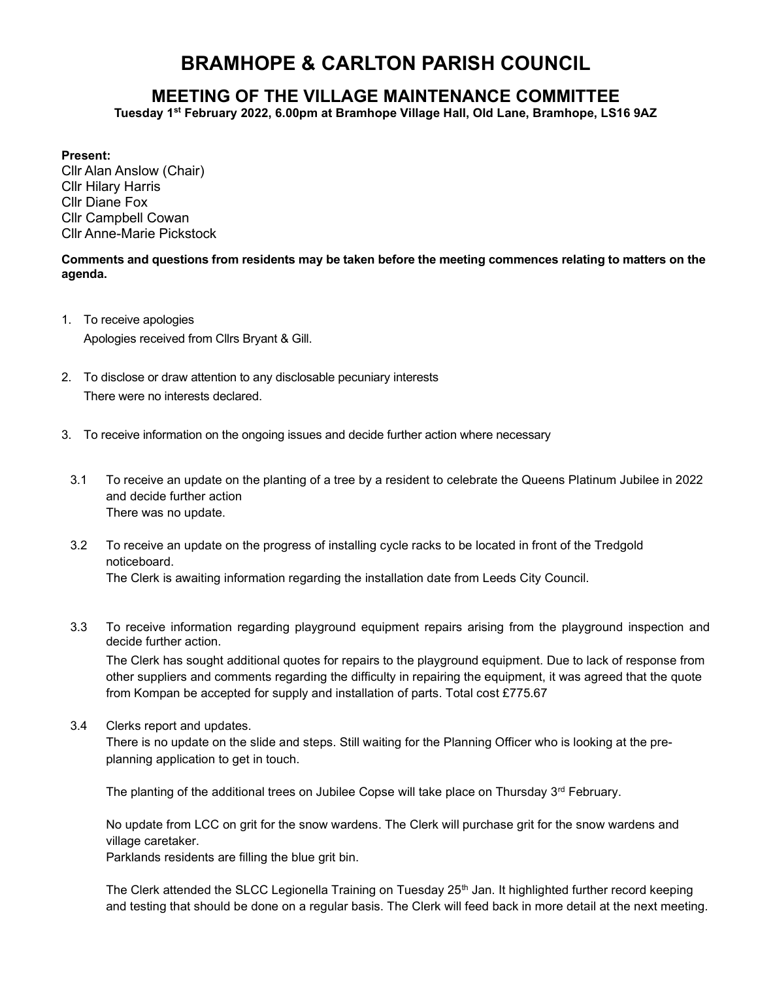# BRAMHOPE & CARLTON PARISH COUNCIL

# MEETING OF THE VILLAGE MAINTENANCE COMMITTEE

Tuesday 1st February 2022, 6.00pm at Bramhope Village Hall, Old Lane, Bramhope, LS16 9AZ

## Present:

Cllr Alan Anslow (Chair) Cllr Hilary Harris Cllr Diane Fox Cllr Campbell Cowan Cllr Anne-Marie Pickstock

Comments and questions from residents may be taken before the meeting commences relating to matters on the agenda.

- 1. To receive apologies Apologies received from Cllrs Bryant & Gill.
- 2. To disclose or draw attention to any disclosable pecuniary interests There were no interests declared.
- 3. To receive information on the ongoing issues and decide further action where necessary
- 3.1 To receive an update on the planting of a tree by a resident to celebrate the Queens Platinum Jubilee in 2022 and decide further action There was no update.
- 3.2 To receive an update on the progress of installing cycle racks to be located in front of the Tredgold noticeboard. The Clerk is awaiting information regarding the installation date from Leeds City Council.
- 3.3 To receive information regarding playground equipment repairs arising from the playground inspection and decide further action.

The Clerk has sought additional quotes for repairs to the playground equipment. Due to lack of response from other suppliers and comments regarding the difficulty in repairing the equipment, it was agreed that the quote from Kompan be accepted for supply and installation of parts. Total cost £775.67

3.4 Clerks report and updates.

There is no update on the slide and steps. Still waiting for the Planning Officer who is looking at the preplanning application to get in touch.

The planting of the additional trees on Jubilee Copse will take place on Thursday  $3<sup>rd</sup>$  February.

No update from LCC on grit for the snow wardens. The Clerk will purchase grit for the snow wardens and village caretaker.

Parklands residents are filling the blue grit bin.

The Clerk attended the SLCC Legionella Training on Tuesday 25<sup>th</sup> Jan. It highlighted further record keeping and testing that should be done on a regular basis. The Clerk will feed back in more detail at the next meeting.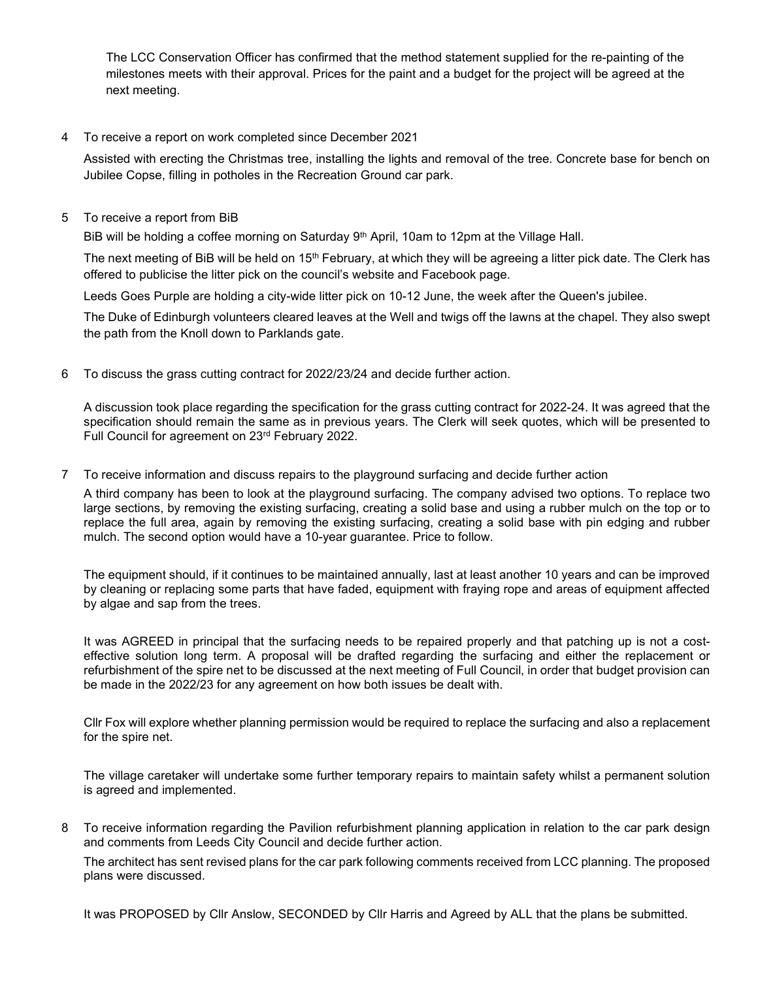The LCC Conservation Officer has confirmed that the method statement supplied for the re-painting of the milestones meets with their approval. Prices for the paint and a budget for the project will be agreed at the next meeting.

## 4 To receive a report on work completed since December 2021

Assisted with erecting the Christmas tree, installing the lights and removal of the tree. Concrete base for bench on Jubilee Copse, filling in potholes in the Recreation Ground car park.

5 To receive a report from BiB

BiB will be holding a coffee morning on Saturday 9<sup>th</sup> April, 10am to 12pm at the Village Hall.

The next meeting of BiB will be held on 15<sup>th</sup> February, at which they will be agreeing a litter pick date. The Clerk has offered to publicise the litter pick on the council's website and Facebook page.

Leeds Goes Purple are holding a city-wide litter pick on 10-12 June, the week after the Queen's jubilee.

The Duke of Edinburgh volunteers cleared leaves at the Well and twigs off the lawns at the chapel. They also swept the path from the Knoll down to Parklands gate.

6 To discuss the grass cutting contract for 2022/23/24 and decide further action.

A discussion took place regarding the specification for the grass cutting contract for 2022-24. It was agreed that the specification should remain the same as in previous years. The Clerk will seek quotes, which will be presented to Full Council for agreement on 23rd February 2022.

7 To receive information and discuss repairs to the playground surfacing and decide further action

A third company has been to look at the playground surfacing. The company advised two options. To replace two large sections, by removing the existing surfacing, creating a solid base and using a rubber mulch on the top or to replace the full area, again by removing the existing surfacing, creating a solid base with pin edging and rubber mulch. The second option would have a 10-year guarantee. Price to follow.

The equipment should, if it continues to be maintained annually, last at least another 10 years and can be improved by cleaning or replacing some parts that have faded, equipment with fraying rope and areas of equipment affected by algae and sap from the trees.

It was AGREED in principal that the surfacing needs to be repaired properly and that patching up is not a costeffective solution long term. A proposal will be drafted regarding the surfacing and either the replacement or refurbishment of the spire net to be discussed at the next meeting of Full Council, in order that budget provision can be made in the 2022/23 for any agreement on how both issues be dealt with.

Cllr Fox will explore whether planning permission would be required to replace the surfacing and also a replacement for the spire net.

The village caretaker will undertake some further temporary repairs to maintain safety whilst a permanent solution is agreed and implemented.

8 To receive information regarding the Pavilion refurbishment planning application in relation to the car park design and comments from Leeds City Council and decide further action.

The architect has sent revised plans for the car park following comments received from LCC planning. The proposed plans were discussed.

It was PROPOSED by Cllr Anslow, SECONDED by Cllr Harris and Agreed by ALL that the plans be submitted.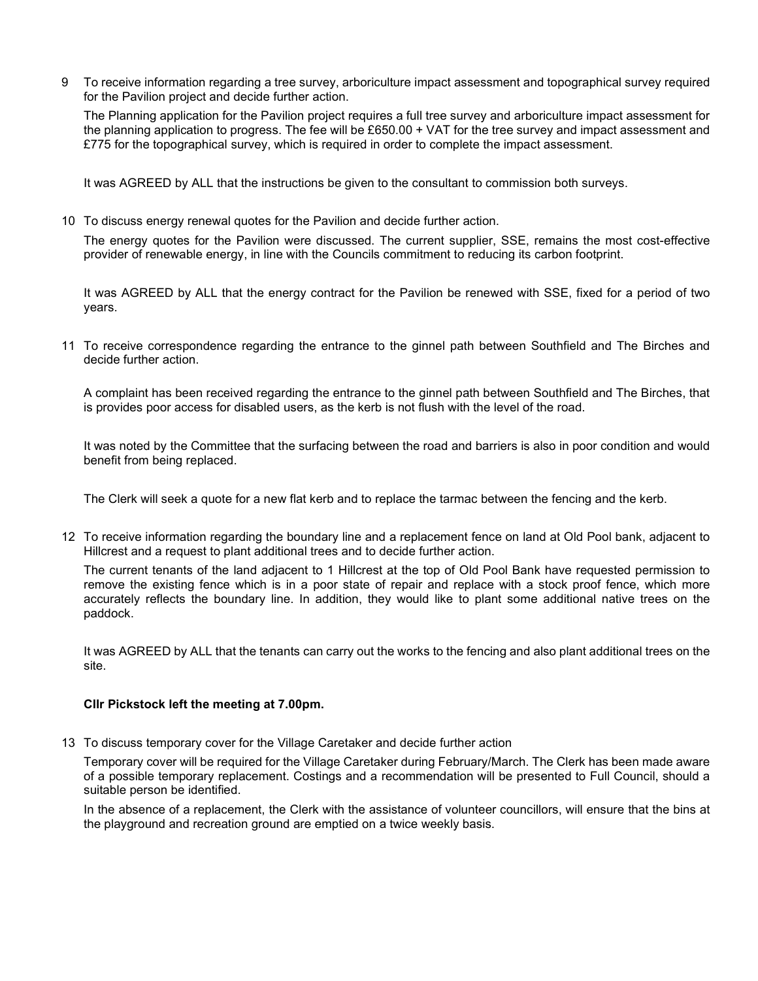9 To receive information regarding a tree survey, arboriculture impact assessment and topographical survey required for the Pavilion project and decide further action.

The Planning application for the Pavilion project requires a full tree survey and arboriculture impact assessment for the planning application to progress. The fee will be £650.00 + VAT for the tree survey and impact assessment and £775 for the topographical survey, which is required in order to complete the impact assessment.

It was AGREED by ALL that the instructions be given to the consultant to commission both surveys.

10 To discuss energy renewal quotes for the Pavilion and decide further action.

The energy quotes for the Pavilion were discussed. The current supplier, SSE, remains the most cost-effective provider of renewable energy, in line with the Councils commitment to reducing its carbon footprint.

It was AGREED by ALL that the energy contract for the Pavilion be renewed with SSE, fixed for a period of two years.

11 To receive correspondence regarding the entrance to the ginnel path between Southfield and The Birches and decide further action.

A complaint has been received regarding the entrance to the ginnel path between Southfield and The Birches, that is provides poor access for disabled users, as the kerb is not flush with the level of the road.

It was noted by the Committee that the surfacing between the road and barriers is also in poor condition and would benefit from being replaced.

The Clerk will seek a quote for a new flat kerb and to replace the tarmac between the fencing and the kerb.

12 To receive information regarding the boundary line and a replacement fence on land at Old Pool bank, adjacent to Hillcrest and a request to plant additional trees and to decide further action.

The current tenants of the land adjacent to 1 Hillcrest at the top of Old Pool Bank have requested permission to remove the existing fence which is in a poor state of repair and replace with a stock proof fence, which more accurately reflects the boundary line. In addition, they would like to plant some additional native trees on the paddock.

It was AGREED by ALL that the tenants can carry out the works to the fencing and also plant additional trees on the site.

#### Cllr Pickstock left the meeting at 7.00pm.

13 To discuss temporary cover for the Village Caretaker and decide further action

Temporary cover will be required for the Village Caretaker during February/March. The Clerk has been made aware of a possible temporary replacement. Costings and a recommendation will be presented to Full Council, should a suitable person be identified.

In the absence of a replacement, the Clerk with the assistance of volunteer councillors, will ensure that the bins at the playground and recreation ground are emptied on a twice weekly basis.